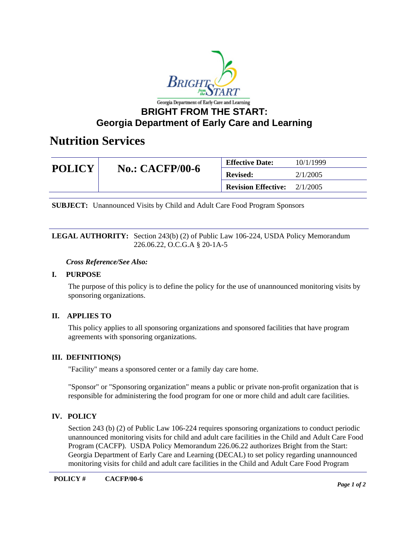

# **Georgia Department of Early Care and Learning**

## **Nutrition Services**

| <b>POLICY</b> | <b>No.: CACFP/00-6</b> | <b>Effective Date:</b>     | 10/1/1999 |
|---------------|------------------------|----------------------------|-----------|
|               |                        | <b>Revised:</b>            | 2/1/2005  |
|               |                        | <b>Revision Effective:</b> | 2/1/2005  |

**SUBJECT:** Unannounced Visits by Child and Adult Care Food Program Sponsors

LEGAL AUTHORITY: Section 243(b) (2) of Public Law 106-224, USDA Policy Memorandum 226.06.22, O.C.G.A § 20-1A-5

#### *Cross Reference/See Also:*

## **I. PURPOSE**

The purpose of this policy is to define the policy for the use of unannounced monitoring visits by sponsoring organizations.

## **II. APPLIES TO**

This policy applies to all sponsoring organizations and sponsored facilities that have program agreements with sponsoring organizations.

## **III. DEFINITION(S)**

"Facility" means a sponsored center or a family day care home.

"Sponsor" or "Sponsoring organization" means a public or private non-profit organization that is responsible for administering the food program for one or more child and adult care facilities.

## **IV. POLICY**

Section 243 (b) (2) of Public Law 106-224 requires sponsoring organizations to conduct periodic unannounced monitoring visits for child and adult care facilities in the Child and Adult Care Food Program (CACFP). USDA Policy Memorandum 226.06.22 authorizes Bright from the Start: Georgia Department of Early Care and Learning (DECAL) to set policy regarding unannounced monitoring visits for child and adult care facilities in the Child and Adult Care Food Program